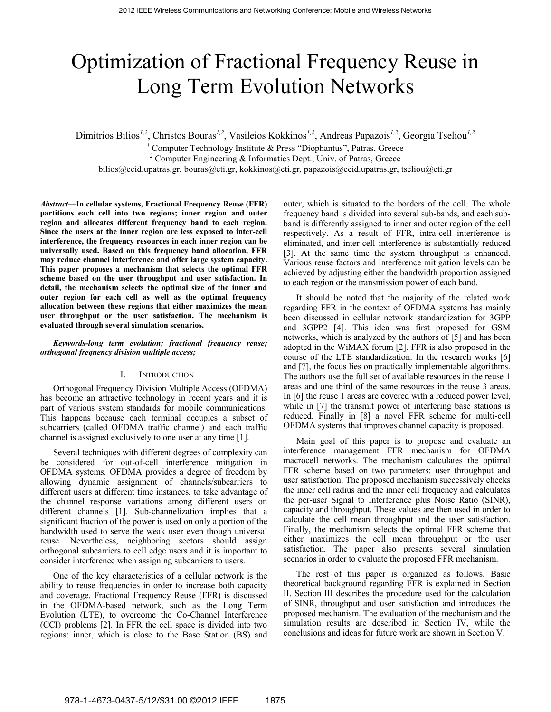# Optimization of Fractional Frequency Reuse in Long Term Evolution Networks

Dimitrios Bilios*1,2*, Christos Bouras*1,2*, Vasileios Kokkinos*1,2*, Andreas Papazois*1,2*, Georgia Tseliou*1,2*

<sup>1</sup> Computer Technology Institute & Press "Diophantus", Patras, Greece <sup>2</sup> Computer Engineering & Informatics Dept., Univ. of Patras, Greece

bilios@ceid.upatras.gr, bouras@cti.gr, kokkinos@cti.gr, papazois@ceid.upatras.gr, tseliou@cti.gr

*Abstract—***In cellular systems, Fractional Frequency Reuse (FFR) partitions each cell into two regions; inner region and outer region and allocates different frequency band to each region. Since the users at the inner region are less exposed to inter-cell interference, the frequency resources in each inner region can be universally used. Based on this frequency band allocation, FFR may reduce channel interference and offer large system capacity. This paper proposes a mechanism that selects the optimal FFR scheme based on the user throughput and user satisfaction. In detail, the mechanism selects the optimal size of the inner and outer region for each cell as well as the optimal frequency allocation between these regions that either maximizes the mean user throughput or the user satisfaction. The mechanism is evaluated through several simulation scenarios.** 

## *Keywords-long term evolution; fractional frequency reuse; orthogonal frequency division multiple access;*

# I. INTRODUCTION

Orthogonal Frequency Division Multiple Access (OFDMA) has become an attractive technology in recent years and it is part of various system standards for mobile communications. This happens because each terminal occupies a subset of subcarriers (called OFDMA traffic channel) and each traffic channel is assigned exclusively to one user at any time [1].

Several techniques with different degrees of complexity can be considered for out-of-cell interference mitigation in OFDMA systems. OFDMA provides a degree of freedom by allowing dynamic assignment of channels/subcarriers to different users at different time instances, to take advantage of the channel response variations among different users on different channels [1]. Sub-channelization implies that a significant fraction of the power is used on only a portion of the bandwidth used to serve the weak user even though universal reuse. Nevertheless, neighboring sectors should assign orthogonal subcarriers to cell edge users and it is important to consider interference when assigning subcarriers to users.

One of the key characteristics of a cellular network is the ability to reuse frequencies in order to increase both capacity and coverage. Fractional Frequency Reuse (FFR) is discussed in the OFDMA-based network, such as the Long Term Evolution (LTE), to overcome the Co-Channel Interference (CCI) problems [2]. In FFR the cell space is divided into two regions: inner, which is close to the Base Station (BS) and outer, which is situated to the borders of the cell. The whole frequency band is divided into several sub-bands, and each subband is differently assigned to inner and outer region of the cell respectively. As a result of FFR, intra-cell interference is eliminated, and inter-cell interference is substantially reduced [3]. At the same time the system throughput is enhanced. Various reuse factors and interference mitigation levels can be achieved by adjusting either the bandwidth proportion assigned to each region or the transmission power of each band.

It should be noted that the majority of the related work regarding FFR in the context of OFDMA systems has mainly been discussed in cellular network standardization for 3GPP and 3GPP2 [4]. This idea was first proposed for GSM networks, which is analyzed by the authors of [5] and has been adopted in the WiMAX forum [2]. FFR is also proposed in the course of the LTE standardization. In the research works [6] and [7], the focus lies on practically implementable algorithms. The authors use the full set of available resources in the reuse 1 areas and one third of the same resources in the reuse 3 areas. In [6] the reuse 1 areas are covered with a reduced power level, while in [7] the transmit power of interfering base stations is reduced. Finally in [8] a novel FFR scheme for multi-cell OFDMA systems that improves channel capacity is proposed.

Main goal of this paper is to propose and evaluate an interference management FFR mechanism for OFDMA macrocell networks. The mechanism calculates the optimal FFR scheme based on two parameters: user throughput and user satisfaction. The proposed mechanism successively checks the inner cell radius and the inner cell frequency and calculates the per-user Signal to Interference plus Noise Ratio (SINR), capacity and throughput. These values are then used in order to calculate the cell mean throughput and the user satisfaction. Finally, the mechanism selects the optimal FFR scheme that either maximizes the cell mean throughput or the user satisfaction. The paper also presents several simulation scenarios in order to evaluate the proposed FFR mechanism.

The rest of this paper is organized as follows. Basic theoretical background regarding FFR is explained in Section II. Section III describes the procedure used for the calculation of SINR, throughput and user satisfaction and introduces the proposed mechanism. The evaluation of the mechanism and the simulation results are described in Section IV, while the conclusions and ideas for future work are shown in Section V.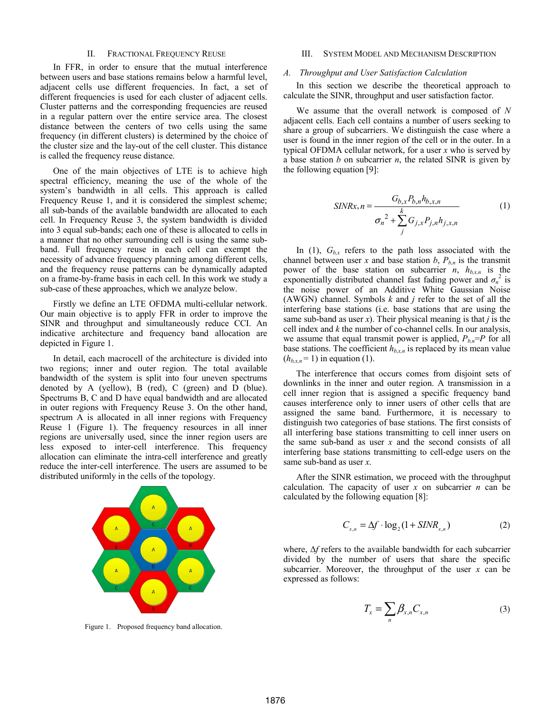#### II. FRACTIONAL FREQUENCY REUSE

In FFR, in order to ensure that the mutual interference between users and base stations remains below a harmful level, adjacent cells use different frequencies. In fact, a set of different frequencies is used for each cluster of adjacent cells. Cluster patterns and the corresponding frequencies are reused in a regular pattern over the entire service area. The closest distance between the centers of two cells using the same frequency (in different clusters) is determined by the choice of the cluster size and the lay-out of the cell cluster. This distance is called the frequency reuse distance.

One of the main objectives of LTE is to achieve high spectral efficiency, meaning the use of the whole of the system's bandwidth in all cells. This approach is called Frequency Reuse 1, and it is considered the simplest scheme; all sub-bands of the available bandwidth are allocated to each cell. In Frequency Reuse 3, the system bandwidth is divided into 3 equal sub-bands; each one of these is allocated to cells in a manner that no other surrounding cell is using the same subband. Full frequency reuse in each cell can exempt the necessity of advance frequency planning among different cells, and the frequency reuse patterns can be dynamically adapted on a frame-by-frame basis in each cell. In this work we study a sub-case of these approaches, which we analyze below.

Firstly we define an LTE OFDMA multi-cellular network. Our main objective is to apply FFR in order to improve the SINR and throughput and simultaneously reduce CCI. An indicative architecture and frequency band allocation are depicted in Figure 1.

In detail, each macrocell of the architecture is divided into two regions; inner and outer region. The total available bandwidth of the system is split into four uneven spectrums denoted by A (yellow), B (red), C (green) and D (blue). Spectrums B, C and D have equal bandwidth and are allocated in outer regions with Frequency Reuse 3. On the other hand, spectrum A is allocated in all inner regions with Frequency Reuse 1 (Figure 1). The frequency resources in all inner regions are universally used, since the inner region users are less exposed to inter-cell interference. This frequency allocation can eliminate the intra-cell interference and greatly reduce the inter-cell interference. The users are assumed to be distributed uniformly in the cells of the topology.



Figure 1. Proposed frequency band allocation.

### III. SYSTEM MODEL AND MECHANISM DESCRIPTION

### *A. Throughput and User Satisfaction Calculation*

In this section we describe the theoretical approach to calculate the SINR, throughput and user satisfaction factor.

We assume that the overall network is composed of *N* adjacent cells. Each cell contains a number of users seeking to share a group of subcarriers. We distinguish the case where a user is found in the inner region of the cell or in the outer. In a typical OFDMA cellular network, for a user *x* who is served by a base station *b* on subcarrier *n*, the related SINR is given by the following equation [9]:

$$
SINRx, n = \frac{G_{b,x}P_{b,n}h_{b,x,n}}{\sigma_n^2 + \sum_{j}^{k} G_{j,x}P_{j,n}h_{j,x,n}}
$$
(1)

In (1),  $G_{b,x}$  refers to the path loss associated with the channel between user *x* and base station  $b$ ,  $P_{b,n}$  is the transmit power of the base station on subcarrier *n*,  $h_{b,x,n}$  is the exponentially distributed channel fast fading power and  $\sigma_n^2$  is the noise power of an Additive White Gaussian Noise (AWGN) channel. Symbols *k* and *j* refer to the set of all the interfering base stations (i.e. base stations that are using the same sub-band as user *x*). Their physical meaning is that *j* is the cell index and *k* the number of co-channel cells. In our analysis, we assume that equal transmit power is applied,  $P_{b,n} = P$  for all base stations. The coefficient  $h_{b,x,n}$  is replaced by its mean value  $(h_{b,x,n} = 1)$  in equation (1).

The interference that occurs comes from disjoint sets of downlinks in the inner and outer region. A transmission in a cell inner region that is assigned a specific frequency band causes interference only to inner users of other cells that are assigned the same band. Furthermore, it is necessary to distinguish two categories of base stations. The first consists of all interfering base stations transmitting to cell inner users on the same sub-band as user *x* and the second consists of all interfering base stations transmitting to cell-edge users on the same sub-band as user *x*.

After the SINR estimation, we proceed with the throughput calculation. The capacity of user *x* on subcarrier *n* can be calculated by the following equation [8]:

$$
C_{x,n} = \Delta f \cdot \log_2(1 + SIM_{x,n})
$$
 (2)

where, Δ*f* refers to the available bandwidth for each subcarrier divided by the number of users that share the specific subcarrier. Moreover, the throughput of the user *x* can be expressed as follows:

$$
T_x = \sum_n \beta_{x,n} C_{x,n} \tag{3}
$$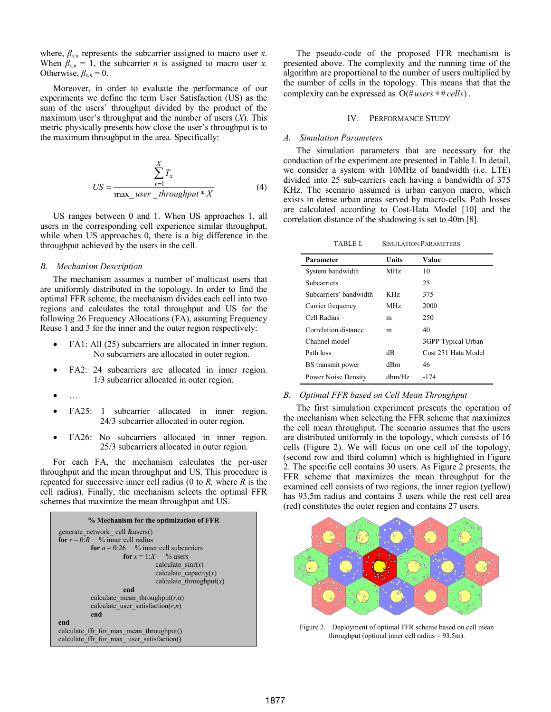where,  $\beta_{x,n}$  represents the subcarrier assigned to macro user *x*. When  $\beta_{x,n} = 1$ , the subcarrier *n* is assigned to macro user *x*. Otherwise,  $\beta_{x,n} = 0$ .

Moreover, in order to evaluate the performance of our experiments we define the term User Satisfaction (US) as the sum of the users' throughput divided by the product of the maximum user's throughput and the number of users (*X*). This metric physically presents how close the user's throughput is to the maximum throughput in the area. Specifically:

$$
US = \frac{\sum_{x=1}^{X} T_x}{\max\_user\_throughput^* X}
$$
 (4)

US ranges between 0 and 1. When US approaches 1, all users in the corresponding cell experience similar throughput, while when US approaches 0, there is a big difference in the throughput achieved by the users in the cell.

#### *B. Mechanism Description*

The mechanism assumes a number of multicast users that are uniformly distributed in the topology. In order to find the optimal FFR scheme, the mechanism divides each cell into two regions and calculates the total throughput and US for the following 26 Frequency Allocations (FA), assuming Frequency Reuse 1 and 3 for the inner and the outer region respectively:

- FA1: All (25) subcarriers are allocated in inner region. No subcarriers are allocated in outer region.
- FA2: 24 subcarriers are allocated in inner region. 1/3 subcarrier allocated in outer region.
- …
- FA25: 1 subcarrier allocated in inner region. 24/3 subcarrier allocated in outer region.
- FA26: No subcarriers allocated in inner region. 25/3 subcarriers allocated in outer region.

For each FA, the mechanism calculates the per-user throughput and the mean throughput and US. This procedure is repeated for successive inner cell radius (0 to *R,* where *R* is the cell radius). Finally, the mechanism selects the optimal FFR schemes that maximize the mean throughput and US.



The pseudo-code of the proposed FFR mechanism is presented above. The complexity and the running time of the algorithm are proportional to the number of users multiplied by the number of cells in the topology. This means that that the complexity can be expressed as  $O$  (# *users* \* # *cells*).

## IV. PERFORMANCE STUDY

# *A. Simulation Parameters*

The simulation parameters that are necessary for the conduction of the experiment are presented in Table I. In detail, we consider a system with 10MHz of bandwidth (i.e. LTE) divided into 25 sub-carriers each having a bandwidth of 375 KHz. The scenario assumed is urban canyon macro, which exists in dense urban areas served by macro-cells. Path losses are calculated according to Cost-Hata Model [10] and the correlation distance of the shadowing is set to 40m [8].

TABLE I. SIMULATION PARAMETERS

| Units           | Value               |
|-----------------|---------------------|
| MH <sub>z</sub> | 10                  |
|                 | 25                  |
| KH <sub>z</sub> | 375                 |
| MH <sub>z</sub> | 2000                |
| m               | 250                 |
| m               | 40                  |
|                 | 3GPP Typical Urban  |
| dВ              | Cost 231 Hata Model |
| dBm             | 46                  |
| $d$ hm/ $Hz$    | -174                |
|                 |                     |

#### *B. Optimal FFR based on Cell Mean Throughput*

The first simulation experiment presents the operation of the mechanism when selecting the FFR scheme that maximizes the cell mean throughput. The scenario assumes that the users are distributed uniformly in the topology, which consists of 16 cells (Figure 2). We will focus on one cell of the topology, (second row and third column) which is highlighted in Figure 2. The specific cell contains 30 users. As Figure 2 presents, the FFR scheme that maximizes the mean throughput for the examined cell consists of two regions, the inner region (yellow) has 93.5m radius and contains 3 users while the rest cell area (red) constitutes the outer region and contains 27 users.



Figure 2. Deployment of optimal FFR scheme based on cell mean throughput (optimal inner cell radius = 93.5m).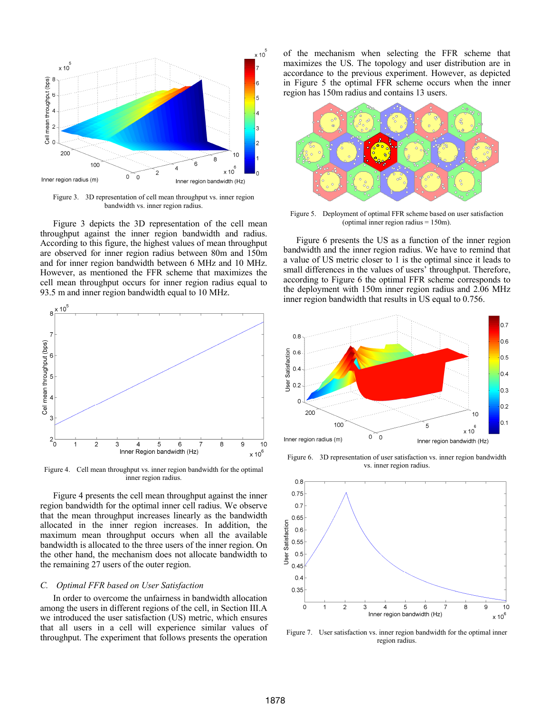

Figure 3. 3D representation of cell mean throughput vs. inner region bandwidth vs. inner region radius.

Figure 3 depicts the 3D representation of the cell mean throughput against the inner region bandwidth and radius. According to this figure, the highest values of mean throughput are observed for inner region radius between 80m and 150m and for inner region bandwidth between 6 MHz and 10 MHz. However, as mentioned the FFR scheme that maximizes the cell mean throughput occurs for inner region radius equal to 93.5 m and inner region bandwidth equal to 10 MHz.



Figure 4. Cell mean throughput vs. inner region bandwidth for the optimal inner region radius.

Figure 4 presents the cell mean throughput against the inner region bandwidth for the optimal inner cell radius. We observe that the mean throughput increases linearly as the bandwidth allocated in the inner region increases. In addition, the maximum mean throughput occurs when all the available bandwidth is allocated to the three users of the inner region. On the other hand, the mechanism does not allocate bandwidth to the remaining 27 users of the outer region.

### *C. Optimal FFR based on User Satisfaction*

In order to overcome the unfairness in bandwidth allocation among the users in different regions of the cell, in Section III.A we introduced the user satisfaction (US) metric, which ensures that all users in a cell will experience similar values of throughput. The experiment that follows presents the operation

of the mechanism when selecting the FFR scheme that maximizes the US. The topology and user distribution are in accordance to the previous experiment. However, as depicted in Figure 5 the optimal FFR scheme occurs when the inner region has 150m radius and contains 13 users.



Figure 5. Deployment of optimal FFR scheme based on user satisfaction (optimal inner region radius = 150m).

Figure 6 presents the US as a function of the inner region bandwidth and the inner region radius. We have to remind that a value of US metric closer to 1 is the optimal since it leads to small differences in the values of users' throughput. Therefore, according to Figure 6 the optimal FFR scheme corresponds to the deployment with 150m inner region radius and 2.06 MHz inner region bandwidth that results in US equal to 0.756.



Figure 6. 3D representation of user satisfaction vs. inner region bandwidth vs. inner region radius.



Figure 7. User satisfaction vs. inner region bandwidth for the optimal inner region radius.